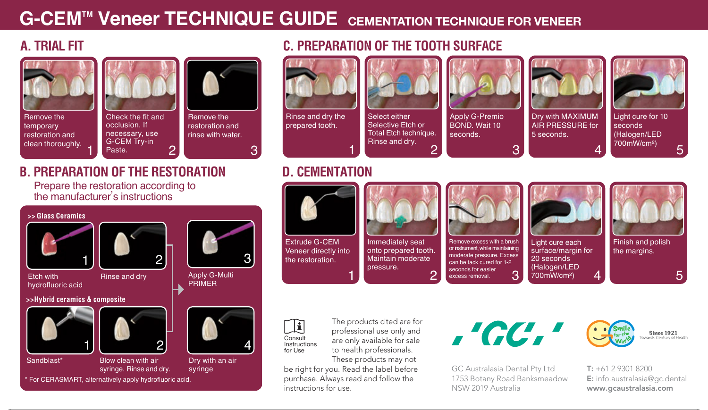## **G-CEMTM Veneer TECHNIQUE GUIDE CEMENTATION TECHNIQUE FOR VENEER**

## **A. TRIAL FIT**



Remove the temporary restoration and clean thoroughly.



## **B. PREPARATION OF THE RESTORATION**

Prepare the restoration according to the manufacturer's instructions

\* For CERASMART, alternatively apply hydrofluoric acid.



## **C. PREPARATION OF THE TOOTH SURFACE**



Rinse and dry the prepared tooth.

3



Select either Selective Etch or **Total Etch technique.** Rinse and dry. 2



Apply G-Premio BOND. Wait 10 seconds.



3



5 seconds. 4 seconds

Light cure for 10 (Halogen/LED  $700$ mW/cm<sup>2</sup>)

#### **D. CEMENTATION**

1



՛ի Consult Instructions for Use

The products cited are for professional use only and are only available for sale to health professionals. These products may not

be right for you. Read the label before purchase. Always read and follow the instructions for use.  $\blacksquare$  and  $\blacksquare$  and  $\blacksquare$  and  $\blacksquare$  are contributions for use. The contributions of  $\blacksquare$  and  $\blacksquare$  and  $\blacksquare$  and  $\blacksquare$  and  $\blacksquare$  and  $\blacksquare$  are contributions for use.

,'GC,'

GC Australasia Dental Pty Ltd 1753 Botany Road Banksmeadow NSW 2019 Australia



T: +61 2 9301 8200 E: info.australasia@gc.dental www.gcaustralasia.com